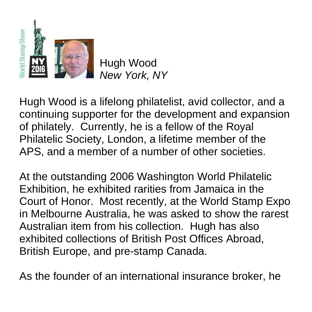

Hugh Wood *New York, NY*

Hugh Wood is a lifelong philatelist, avid collector, and a continuing supporter for the development and expansion of philately. Currently, he is a fellow of the Royal Philatelic Society, London, a lifetime member of the APS, and a member of a number of other societies.

At the outstanding 2006 Washington World Philatelic Exhibition, he exhibited rarities from Jamaica in the Court of Honor. Most recently, at the World Stamp Expo in Melbourne Australia, he was asked to show the rarest Australian item from his collection. Hugh has also exhibited collections of British Post Offices Abroad, British Europe, and pre-stamp Canada.

As the founder of an international insurance broker, he